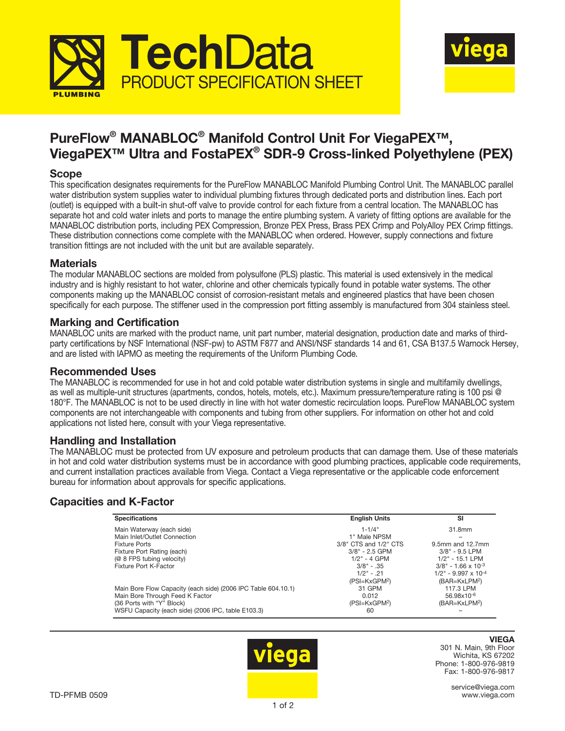



## PureFlow® MANABLOC® Manifold Control Unit For ViegaPEX™, ViegaPEX™ Ultra and FostaPEX® SDR-9 Cross-linked Polyethylene (PEX)

## Scope

This specification designates requirements for the PureFlow MANABLOC Manifold Plumbing Control Unit. The MANABLOC parallel water distribution system supplies water to individual plumbing fixtures through dedicated ports and distribution lines. Each port (outlet) is equipped with a built-in shut-off valve to provide control for each fixture from a central location. The MANABLOC has separate hot and cold water inlets and ports to manage the entire plumbing system. A variety of fitting options are available for the MANABLOC distribution ports, including PEX Compression, Bronze PEX Press, Brass PEX Crimp and PolyAlloy PEX Crimp fittings. These distribution connections come complete with the MANABLOC when ordered. However, supply connections and fixture transition fittings are not included with the unit but are available separately.

## **Materials**

The modular MANABLOC sections are molded from polysulfone (PLS) plastic. This material is used extensively in the medical industry and is highly resistant to hot water, chlorine and other chemicals typically found in potable water systems. The other components making up the MANABLOC consist of corrosion-resistant metals and engineered plastics that have been chosen specifically for each purpose. The stiffener used in the compression port fitting assembly is manufactured from 304 stainless steel.

## Marking and Certification

MANABLOC units are marked with the product name, unit part number, material designation, production date and marks of thirdparty certifications by NSF International (NSF-pw) to ASTM F877 and ANSI/NSF standards 14 and 61, CSA B137.5 Warnock Hersey, and are listed with IAPMO as meeting the requirements of the Uniform Plumbing Code.

## Recommended Uses

The MANABLOC is recommended for use in hot and cold potable water distribution systems in single and multifamily dwellings, as well as multiple-unit structures (apartments, condos, hotels, motels, etc.). Maximum pressure/temperature rating is 100 psi @ 180°F. The MANABLOC is not to be used directly in line with hot water domestic recirculation loops. PureFlow MANABLOC system components are not interchangeable with components and tubing from other suppliers. For information on other hot and cold applications not listed here, consult with your Viega representative.

### Handling and Installation

The MANABLOC must be protected from UV exposure and petroleum products that can damage them. Use of these materials in hot and cold water distribution systems must be in accordance with good plumbing practices, applicable code requirements, and current installation practices available from Viega. Contact a Viega representative or the applicable code enforcement bureau for information about approvals for specific applications.

## Capacities and K-Factor

| <b>Specifications</b>                                         | <b>English Units</b>  | <b>SI</b>                          |
|---------------------------------------------------------------|-----------------------|------------------------------------|
| Main Waterway (each side)                                     | $1 - 1/4$ "           | 31.8mm                             |
| Main Inlet/Outlet Connection                                  | 1" Male NPSM          |                                    |
| <b>Fixture Ports</b>                                          | 3/8" CTS and 1/2" CTS | 9.5mm and 12.7mm                   |
| Fixture Port Rating (each)                                    | $3/8" - 2.5$ GPM      | $3/8" - 9.5$ LPM                   |
| (@ 8 FPS tubing velocity)                                     | $1/2" - 4$ GPM        | $1/2" - 15.1$ LPM                  |
| Fixture Port K-Factor                                         | $3/8" - .35$          | $3/8" - 1.66 \times 10^{-3}$       |
|                                                               | $1/2" - .21$          | $1/2$ " - 9.997 x 10 <sup>-4</sup> |
|                                                               | $(PSI=KxGPM2)$        | (BAR=KxLPM <sup>2</sup> )          |
| Main Bore Flow Capacity (each side) (2006 IPC Table 604.10.1) | 31 GPM                | 117.3 LPM                          |
| Main Bore Through Feed K Factor                               | 0.012                 | 56.98x10-6                         |
| (36 Ports with "Y" Block)                                     | $(PSI=KxGPM2)$        | (BAR=KxLPM <sup>2</sup> )          |
| WSFU Capacity (each side) (2006 IPC, table E103.3)            | 60                    |                                    |



# **VIEGA**

301 N. Main, 9th Floor Wichita, KS 67202 Phone: 1-800-976-9819 Fax: 1-800-976-9817

> service@viega.com www.viega.com